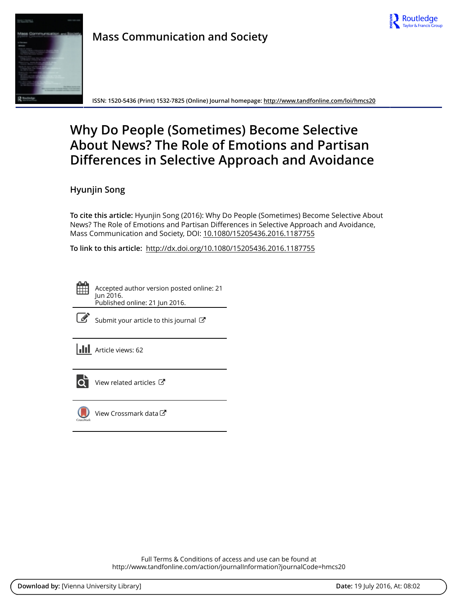



**ISSN: 1520-5436 (Print) 1532-7825 (Online) Journal homepage:<http://www.tandfonline.com/loi/hmcs20>**

# **Why Do People (Sometimes) Become Selective About News? The Role of Emotions and Partisan Differences in Selective Approach and Avoidance**

**Hyunjin Song**

**To cite this article:** Hyunjin Song (2016): Why Do People (Sometimes) Become Selective About News? The Role of Emotions and Partisan Differences in Selective Approach and Avoidance, Mass Communication and Society, DOI: [10.1080/15205436.2016.1187755](http://www.tandfonline.com/action/showCitFormats?doi=10.1080/15205436.2016.1187755)

**To link to this article:** <http://dx.doi.org/10.1080/15205436.2016.1187755>

Accepted author version posted online: 21 Jun 2016. Published online: 21 Jun 2016.



[Submit your article to this journal](http://www.tandfonline.com/action/authorSubmission?journalCode=hmcs20&page=instructions)  $\mathbb{Z}$ 

**III** Article views: 62



 $\overrightarrow{Q}$  [View related articles](http://www.tandfonline.com/doi/mlt/10.1080/15205436.2016.1187755)  $\overrightarrow{C}$ 



[View Crossmark data](http://crossmark.crossref.org/dialog/?doi=10.1080/15205436.2016.1187755&domain=pdf&date_stamp=2016-06-21) $\mathbb{Z}$ 

Full Terms & Conditions of access and use can be found at <http://www.tandfonline.com/action/journalInformation?journalCode=hmcs20>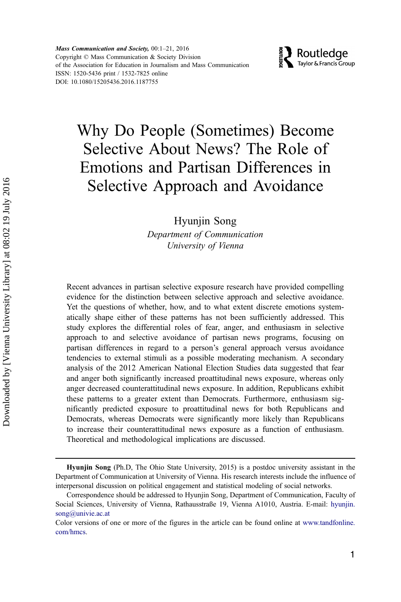Mass Communication and Society, 00:1-21, 2016 Copyright © Mass Communication & Society Division of the Association for Education in Journalism and Mass Communication ISSN: 1520-5436 print / 1532-7825 online DOI: 10.1080/15205436.2016.1187755



# Why Do People (Sometimes) Become Selective About News? The Role of Emotions and Partisan Differences in Selective Approach and Avoidance

Hyunjin Song

Department of Communication University of Vienna

Recent advances in partisan selective exposure research have provided compelling evidence for the distinction between selective approach and selective avoidance. Yet the questions of whether, how, and to what extent discrete emotions systematically shape either of these patterns has not been sufficiently addressed. This study explores the differential roles of fear, anger, and enthusiasm in selective approach to and selective avoidance of partisan news programs, focusing on partisan differences in regard to a person's general approach versus avoidance tendencies to external stimuli as a possible moderating mechanism. A secondary analysis of the 2012 American National Election Studies data suggested that fear and anger both significantly increased proattitudinal news exposure, whereas only anger decreased counterattitudinal news exposure. In addition, Republicans exhibit these patterns to a greater extent than Democrats. Furthermore, enthusiasm significantly predicted exposure to proattitudinal news for both Republicans and Democrats, whereas Democrats were significantly more likely than Republicans to increase their counterattitudinal news exposure as a function of enthusiasm. Theoretical and methodological implications are discussed.

Hyunjin Song (Ph.D, The Ohio State University, 2015) is a postdoc university assistant in the Department of Communication at University of Vienna. His research interests include the influence of interpersonal discussion on political engagement and statistical modeling of social networks.

Correspondence should be addressed to Hyunjin Song, Department of Communication, Faculty of Social Sciences, University of Vienna, Rathausstraße 19, Vienna A1010, Austria. E-mail: [hyunjin.](mailto:hyunjin.song@univie.ac.at) [song@univie.ac.at](mailto:hyunjin.song@univie.ac.at)

Color versions of one or more of the figures in the article can be found online at [www.tandfonline.](http://www.tandfonline.com/hmcs) [com/hmcs](http://www.tandfonline.com/hmcs).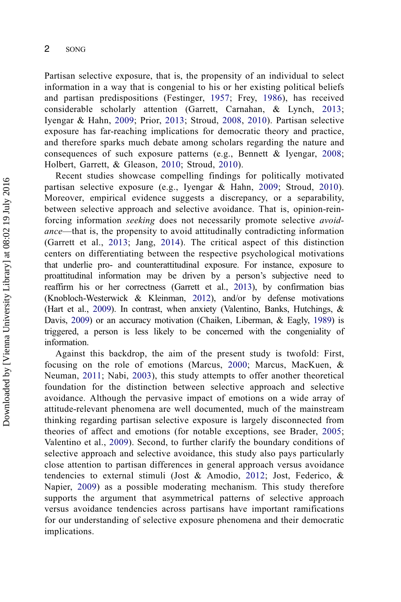Partisan selective exposure, that is, the propensity of an individual to select information in a way that is congenial to his or her existing political beliefs and partisan predispositions (Festinger, [1957](#page-19-0); Frey, [1986\)](#page-19-0), has received considerable scholarly attention (Garrett, Carnahan, & Lynch, [2013;](#page-19-0) Iyengar & Hahn, [2009](#page-20-0); Prior, [2013;](#page-21-0) Stroud, [2008](#page-21-0), [2010\)](#page-21-0). Partisan selective exposure has far-reaching implications for democratic theory and practice, and therefore sparks much debate among scholars regarding the nature and consequences of such exposure patterns (e.g., Bennett & Iyengar, [2008;](#page-19-0) Holbert, Garrett, & Gleason, [2010;](#page-19-0) Stroud, [2010](#page-21-0)).

Recent studies showcase compelling findings for politically motivated partisan selective exposure (e.g., Iyengar & Hahn, [2009;](#page-20-0) Stroud, [2010\)](#page-21-0). Moreover, empirical evidence suggests a discrepancy, or a separability, between selective approach and selective avoidance. That is, opinion-reinforcing information seeking does not necessarily promote selective avoidance—that is, the propensity to avoid attitudinally contradicting information (Garrett et al., [2013;](#page-19-0) Jang, [2014](#page-20-0)). The critical aspect of this distinction centers on differentiating between the respective psychological motivations that underlie pro- and counterattitudinal exposure. For instance, exposure to proattitudinal information may be driven by a person's subjective need to reaffirm his or her correctness (Garrett et al., [2013](#page-19-0)), by confirmation bias (Knobloch-Westerwick & Kleinman, [2012](#page-20-0)), and/or by defense motivations (Hart et al., [2009\)](#page-19-0). In contrast, when anxiety (Valentino, Banks, Hutchings, & Davis, [2009](#page-21-0)) or an accuracy motivation (Chaiken, Liberman, & Eagly, [1989](#page-19-0)) is triggered, a person is less likely to be concerned with the congeniality of information.

Against this backdrop, the aim of the present study is twofold: First, focusing on the role of emotions (Marcus, [2000](#page-20-0); Marcus, MacKuen, & Neuman, [2011](#page-20-0); Nabi, [2003](#page-20-0)), this study attempts to offer another theoretical foundation for the distinction between selective approach and selective avoidance. Although the pervasive impact of emotions on a wide array of attitude-relevant phenomena are well documented, much of the mainstream thinking regarding partisan selective exposure is largely disconnected from theories of affect and emotions (for notable exceptions, see Brader, [2005;](#page-19-0) Valentino et al., [2009\)](#page-21-0). Second, to further clarify the boundary conditions of selective approach and selective avoidance, this study also pays particularly close attention to partisan differences in general approach versus avoidance tendencies to external stimuli (Jost & Amodio, [2012;](#page-20-0) Jost, Federico, & Napier, [2009](#page-20-0)) as a possible moderating mechanism. This study therefore supports the argument that asymmetrical patterns of selective approach versus avoidance tendencies across partisans have important ramifications for our understanding of selective exposure phenomena and their democratic implications.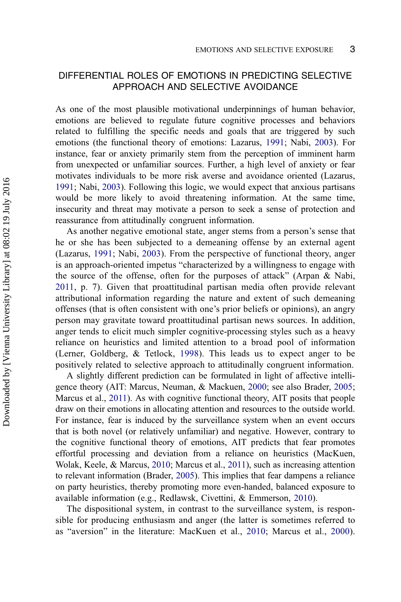# DIFFERENTIAL ROLES OF EMOTIONS IN PREDICTING SELECTIVE APPROACH AND SELECTIVE AVOIDANCE

As one of the most plausible motivational underpinnings of human behavior, emotions are believed to regulate future cognitive processes and behaviors related to fulfilling the specific needs and goals that are triggered by such emotions (the functional theory of emotions: Lazarus, [1991](#page-20-0); Nabi, [2003\)](#page-20-0). For instance, fear or anxiety primarily stem from the perception of imminent harm from unexpected or unfamiliar sources. Further, a high level of anxiety or fear motivates individuals to be more risk averse and avoidance oriented (Lazarus, [1991;](#page-20-0) Nabi, [2003](#page-20-0)). Following this logic, we would expect that anxious partisans would be more likely to avoid threatening information. At the same time, insecurity and threat may motivate a person to seek a sense of protection and reassurance from attitudinally congruent information.

As another negative emotional state, anger stems from a person's sense that he or she has been subjected to a demeaning offense by an external agent (Lazarus, [1991](#page-20-0); Nabi, [2003](#page-20-0)). From the perspective of functional theory, anger is an approach-oriented impetus "characterized by a willingness to engage with the source of the offense, often for the purposes of attack" (Arpan & Nabi, [2011,](#page-19-0) p. 7). Given that proattitudinal partisan media often provide relevant attributional information regarding the nature and extent of such demeaning offenses (that is often consistent with one's prior beliefs or opinions), an angry person may gravitate toward proattitudinal partisan news sources. In addition, anger tends to elicit much simpler cognitive-processing styles such as a heavy reliance on heuristics and limited attention to a broad pool of information (Lerner, Goldberg, & Tetlock, [1998](#page-20-0)). This leads us to expect anger to be positively related to selective approach to attitudinally congruent information.

A slightly different prediction can be formulated in light of affective intelligence theory (AIT: Marcus, Neuman, & Mackuen, [2000](#page-20-0); see also Brader, [2005;](#page-19-0) Marcus et al., [2011](#page-20-0)). As with cognitive functional theory, AIT posits that people draw on their emotions in allocating attention and resources to the outside world. For instance, fear is induced by the surveillance system when an event occurs that is both novel (or relatively unfamiliar) and negative. However, contrary to the cognitive functional theory of emotions, AIT predicts that fear promotes effortful processing and deviation from a reliance on heuristics (MacKuen, Wolak, Keele, & Marcus, [2010;](#page-20-0) Marcus et al., [2011](#page-20-0)), such as increasing attention to relevant information (Brader, [2005](#page-19-0)). This implies that fear dampens a reliance on party heuristics, thereby promoting more even-handed, balanced exposure to available information (e.g., Redlawsk, Civettini, & Emmerson, [2010\)](#page-21-0).

The dispositional system, in contrast to the surveillance system, is responsible for producing enthusiasm and anger (the latter is sometimes referred to as "aversion" in the literature: MacKuen et al., [2010;](#page-20-0) Marcus et al., [2000\)](#page-20-0).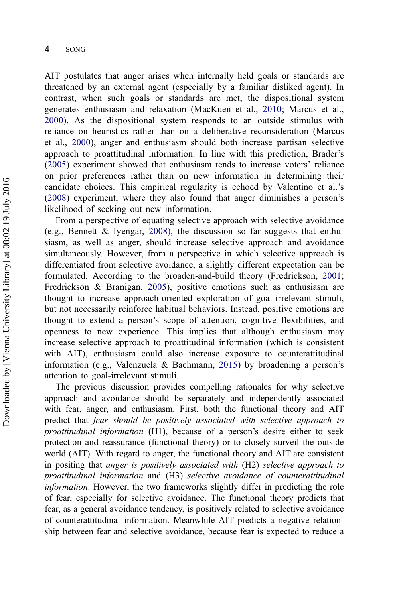AIT postulates that anger arises when internally held goals or standards are threatened by an external agent (especially by a familiar disliked agent). In contrast, when such goals or standards are met, the dispositional system generates enthusiasm and relaxation (MacKuen et al., [2010](#page-20-0); Marcus et al., [2000](#page-20-0)). As the dispositional system responds to an outside stimulus with reliance on heuristics rather than on a deliberative reconsideration (Marcus et al., [2000\)](#page-20-0), anger and enthusiasm should both increase partisan selective approach to proattitudinal information. In line with this prediction, Brader's [\(2005](#page-19-0)) experiment showed that enthusiasm tends to increase voters' reliance on prior preferences rather than on new information in determining their candidate choices. This empirical regularity is echoed by Valentino et al.'s [\(2008](#page-21-0)) experiment, where they also found that anger diminishes a person's likelihood of seeking out new information.

From a perspective of equating selective approach with selective avoidance (e.g., Bennett & Iyengar, [2008\)](#page-19-0), the discussion so far suggests that enthusiasm, as well as anger, should increase selective approach and avoidance simultaneously. However, from a perspective in which selective approach is differentiated from selective avoidance, a slightly different expectation can be formulated. According to the broaden-and-build theory (Fredrickson, [2001;](#page-19-0) Fredrickson & Branigan, [2005\)](#page-19-0), positive emotions such as enthusiasm are thought to increase approach-oriented exploration of goal-irrelevant stimuli, but not necessarily reinforce habitual behaviors. Instead, positive emotions are thought to extend a person's scope of attention, cognitive flexibilities, and openness to new experience. This implies that although enthusiasm may increase selective approach to proattitudinal information (which is consistent with AIT), enthusiasm could also increase exposure to counterattitudinal information (e.g., Valenzuela & Bachmann, [2015](#page-21-0)) by broadening a person's attention to goal-irrelevant stimuli.

The previous discussion provides compelling rationales for why selective approach and avoidance should be separately and independently associated with fear, anger, and enthusiasm. First, both the functional theory and AIT predict that fear should be positively associated with selective approach to proattitudinal information (H1), because of a person's desire either to seek protection and reassurance (functional theory) or to closely surveil the outside world (AIT). With regard to anger, the functional theory and AIT are consistent in positing that anger is positively associated with (H2) selective approach to proattitudinal information and (H3) selective avoidance of counterattitudinal information. However, the two frameworks slightly differ in predicting the role of fear, especially for selective avoidance. The functional theory predicts that fear, as a general avoidance tendency, is positively related to selective avoidance of counterattitudinal information. Meanwhile AIT predicts a negative relationship between fear and selective avoidance, because fear is expected to reduce a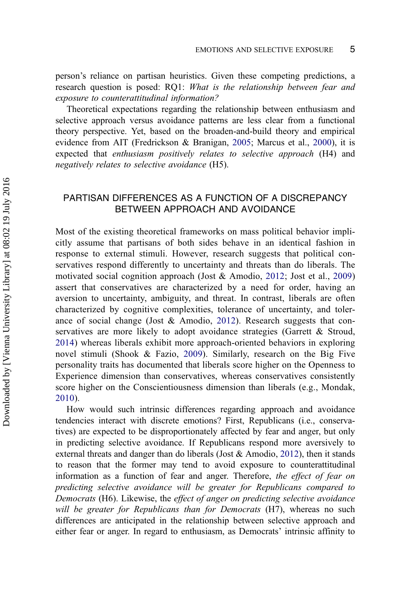person's reliance on partisan heuristics. Given these competing predictions, a research question is posed: RQ1: What is the relationship between fear and exposure to counterattitudinal information?

Theoretical expectations regarding the relationship between enthusiasm and selective approach versus avoidance patterns are less clear from a functional theory perspective. Yet, based on the broaden-and-build theory and empirical evidence from AIT (Fredrickson & Branigan, [2005](#page-19-0); Marcus et al., [2000](#page-20-0)), it is expected that enthusiasm positively relates to selective approach (H4) and negatively relates to selective avoidance (H5).

# PARTISAN DIFFERENCES AS A FUNCTION OF A DISCREPANCY BETWEEN APPROACH AND AVOIDANCE

Most of the existing theoretical frameworks on mass political behavior implicitly assume that partisans of both sides behave in an identical fashion in response to external stimuli. However, research suggests that political conservatives respond differently to uncertainty and threats than do liberals. The motivated social cognition approach (Jost & Amodio, [2012;](#page-20-0) Jost et al., [2009](#page-20-0)) assert that conservatives are characterized by a need for order, having an aversion to uncertainty, ambiguity, and threat. In contrast, liberals are often characterized by cognitive complexities, tolerance of uncertainty, and tolerance of social change (Jost & Amodio, [2012\)](#page-20-0). Research suggests that conservatives are more likely to adopt avoidance strategies (Garrett & Stroud, [2014](#page-19-0)) whereas liberals exhibit more approach-oriented behaviors in exploring novel stimuli (Shook & Fazio, [2009](#page-21-0)). Similarly, research on the Big Five personality traits has documented that liberals score higher on the Openness to Experience dimension than conservatives, whereas conservatives consistently score higher on the Conscientiousness dimension than liberals (e.g., Mondak, [2010](#page-20-0)).

How would such intrinsic differences regarding approach and avoidance tendencies interact with discrete emotions? First, Republicans (i.e., conservatives) are expected to be disproportionately affected by fear and anger, but only in predicting selective avoidance. If Republicans respond more aversively to external threats and danger than do liberals (Jost  $\&$  Amodio, [2012\)](#page-20-0), then it stands to reason that the former may tend to avoid exposure to counterattitudinal information as a function of fear and anger. Therefore, the effect of fear on predicting selective avoidance will be greater for Republicans compared to Democrats (H6). Likewise, the effect of anger on predicting selective avoidance will be greater for Republicans than for Democrats (H7), whereas no such differences are anticipated in the relationship between selective approach and either fear or anger. In regard to enthusiasm, as Democrats' intrinsic affinity to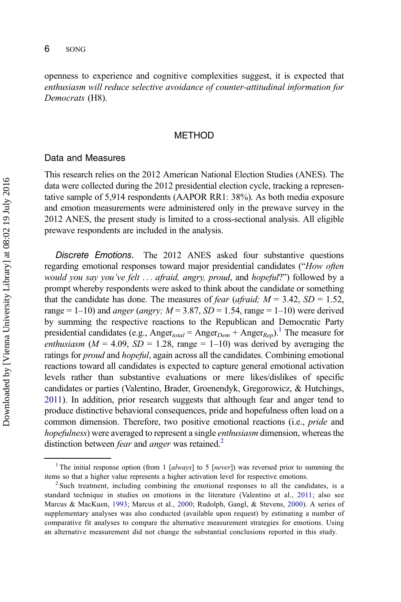openness to experience and cognitive complexities suggest, it is expected that enthusiasm will reduce selective avoidance of counter-attitudinal information for Democrats (H8).

#### METHOD

#### Data and Measures

This research relies on the 2012 American National Election Studies (ANES). The data were collected during the 2012 presidential election cycle, tracking a representative sample of 5,914 respondents (AAPOR RR1: 38%). As both media exposure and emotion measurements were administered only in the prewave survey in the 2012 ANES, the present study is limited to a cross-sectional analysis. All eligible prewave respondents are included in the analysis.

Discrete Emotions. The 2012 ANES asked four substantive questions regarding emotional responses toward major presidential candidates ("How often would you say you've felt ... afraid, angry, proud, and hopeful?") followed by a prompt whereby respondents were asked to think about the candidate or something that the candidate has done. The measures of *fear (afraid;*  $M = 3.42$ *, SD = 1.52,* range = 1–10) and *anger* (*angry*;  $M = 3.87$ ,  $SD = 1.54$ , range = 1–10) were derived by summing the respective reactions to the Republican and Democratic Party presidential candidates (e.g., Anger<sub>total</sub> = Anger<sub>Dem</sub> + Anger<sub>Rep</sub>).<sup>1</sup> The measure for enthusiasm ( $M = 4.09$ ,  $SD = 1.28$ , range = 1–10) was derived by averaging the ratings for *proud* and *hopeful*, again across all the candidates. Combining emotional reactions toward all candidates is expected to capture general emotional activation levels rather than substantive evaluations or mere likes/dislikes of specific candidates or parties (Valentino, Brader, Groenendyk, Gregorowicz, & Hutchings, [2011](#page-21-0)). In addition, prior research suggests that although fear and anger tend to produce distinctive behavioral consequences, pride and hopefulness often load on a common dimension. Therefore, two positive emotional reactions (i.e., pride and hopefulness) were averaged to represent a single *enthusiasm* dimension, whereas the distinction between *fear* and *anger* was retained.<sup>2</sup>

<sup>&</sup>lt;sup>1</sup> The initial response option (from 1 [always] to 5 [never]) was reversed prior to summing the items so that a higher value represents a higher activation level for respective emotions. <sup>2</sup> Such treatment, including combining the emotional responses to all the candidates, is a

standard technique in studies on emotions in the literature (Valentino et al., [2011;](#page-21-0) also see Marcus & MacKuen, [1993](#page-20-0); Marcus et al., [2000;](#page-20-0) Rudolph, Gangl, & Stevens, [2000](#page-21-0)). A series of supplementary analyses was also conducted (available upon request) by estimating a number of comparative fit analyses to compare the alternative measurement strategies for emotions. Using an alternative measurement did not change the substantial conclusions reported in this study.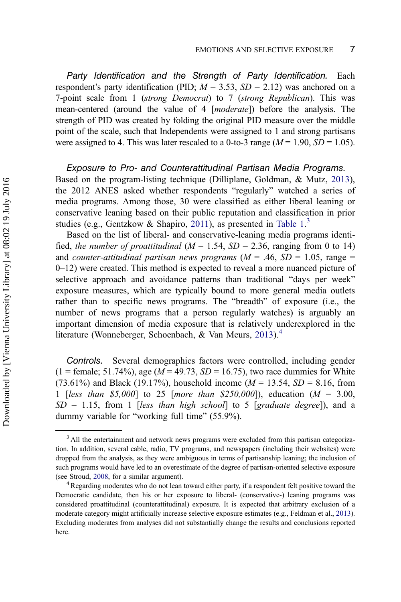Party Identification and the Strength of Party Identification. Each respondent's party identification (PID;  $M = 3.53$ ,  $SD = 2.12$ ) was anchored on a 7-point scale from 1 (strong Democrat) to 7 (strong Republican). This was mean-centered (around the value of 4 [moderate]) before the analysis. The strength of PID was created by folding the original PID measure over the middle point of the scale, such that Independents were assigned to 1 and strong partisans were assigned to 4. This was later rescaled to a 0-to-3 range  $(M = 1.90, SD = 1.05)$ .

#### Exposure to Pro- and Counterattitudinal Partisan Media Programs.

Based on the program-listing technique (Dilliplane, Goldman, & Mutz, [2013\)](#page-19-0), the 2012 ANES asked whether respondents "regularly" watched a series of media programs. Among those, 30 were classified as either liberal leaning or conservative leaning based on their public reputation and classification in prior studies (e.g., Gentzkow & Shapiro, [2011](#page-19-0)), as presented in [Table 1.](#page-8-0)<sup>3</sup>

Based on the list of liberal- and conservative-leaning media programs identified, the number of proattitudinal ( $M = 1.54$ ,  $SD = 2.36$ , ranging from 0 to 14) and counter-attitudinal partisan news programs  $(M = .46, SD = 1.05, range =$ 0–12) were created. This method is expected to reveal a more nuanced picture of selective approach and avoidance patterns than traditional "days per week" exposure measures, which are typically bound to more general media outlets rather than to specific news programs. The "breadth" of exposure (i.e., the number of news programs that a person regularly watches) is arguably an important dimension of media exposure that is relatively underexplored in the literature (Wonneberger, Schoenbach, & Van Meurs, [2013\)](#page-21-0).<sup>4</sup>

Controls. Several demographics factors were controlled, including gender  $(1 =$  female; 51.74%), age ( $M = 49.73$ ,  $SD = 16.75$ ), two race dummies for White (73.61%) and Black (19.17%), household income ( $M = 13.54$ ,  $SD = 8.16$ , from 1 [less than \$5,000] to 25 [more than \$250,000]), education ( $M = 3.00$ ,  $SD = 1.15$ , from 1 [less than high school] to 5 [graduate degree]), and a dummy variable for "working full time" (55.9%).

<sup>&</sup>lt;sup>3</sup> All the entertainment and network news programs were excluded from this partisan categorization. In addition, several cable, radio, TV programs, and newspapers (including their websites) were dropped from the analysis, as they were ambiguous in terms of partisanship leaning; the inclusion of such programs would have led to an overestimate of the degree of partisan-oriented selective exposure (see Stroud, [2008,](#page-21-0) for a similar argument).<br><sup>4</sup>Regarding moderates who do not lean toward either party, if a respondent felt positive toward the

Democratic candidate, then his or her exposure to liberal- (conservative-) leaning programs was considered proattitudinal (counterattitudinal) exposure. It is expected that arbitrary exclusion of a moderate category might artificially increase selective exposure estimates (e.g., Feldman et al., [2013](#page-19-0)). Excluding moderates from analyses did not substantially change the results and conclusions reported here.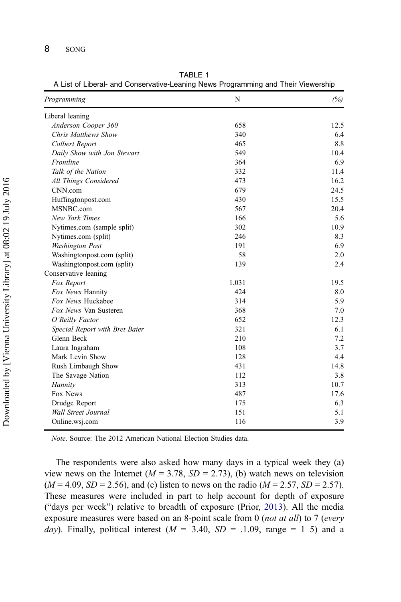| Programming                    | N     | (%)  |
|--------------------------------|-------|------|
| Liberal leaning                |       |      |
| Anderson Cooper 360            | 658   | 12.5 |
| Chris Matthews Show            | 340   | 6.4  |
| Colbert Report                 | 465   | 8.8  |
| Daily Show with Jon Stewart    | 549   | 10.4 |
| Frontline                      | 364   | 6.9  |
| Talk of the Nation             | 332   | 11.4 |
| All Things Considered          | 473   | 16.2 |
| CNN.com                        | 679   | 24.5 |
| Huffingtonpost.com             | 430   | 15.5 |
| MSNBC.com                      | 567   | 20.4 |
| New York Times                 | 166   | 5.6  |
| Nytimes.com (sample split)     | 302   | 10.9 |
| Nytimes.com (split)            | 246   | 8.3  |
| <b>Washington Post</b>         | 191   | 6.9  |
| Washingtonpost.com (split)     | 58    | 2.0  |
| Washingtonpost.com (split)     | 139   | 2.4  |
| Conservative leaning           |       |      |
| Fox Report                     | 1,031 | 19.5 |
| Fox News Hannity               | 424   | 8.0  |
| Fox News Huckabee              | 314   | 5.9  |
| Fox News Van Susteren          | 368   | 7.0  |
| O'Reilly Factor                | 652   | 12.3 |
| Special Report with Bret Baier | 321   | 6.1  |
| Glenn Beck                     | 210   | 7.2  |
| Laura Ingraham                 | 108   | 3.7  |
| Mark Levin Show                | 128   | 4.4  |
| Rush Limbaugh Show             | 431   | 14.8 |
| The Savage Nation              | 112   | 3.8  |
| Hannity                        | 313   | 10.7 |
| Fox News                       | 487   | 17.6 |
| Drudge Report                  | 175   | 6.3  |
| Wall Street Journal            | 151   | 5.1  |
| Online.wsj.com                 | 116   | 3.9  |

<span id="page-8-0"></span>TABLE 1 A List of Liberal- and Conservative-Leaning News Programming and Their Viewership

Note. Source: The 2012 American National Election Studies data.

The respondents were also asked how many days in a typical week they (a) view news on the Internet ( $M = 3.78$ ,  $SD = 2.73$ ), (b) watch news on television  $(M = 4.09, SD = 2.56)$ , and (c) listen to news on the radio  $(M = 2.57, SD = 2.57)$ . These measures were included in part to help account for depth of exposure ("days per week") relative to breadth of exposure (Prior, [2013\)](#page-21-0). All the media exposure measures were based on an 8-point scale from 0 (not at all) to 7 (every day). Finally, political interest ( $M = 3.40$ ,  $SD = 0.1.09$ , range = 1-5) and a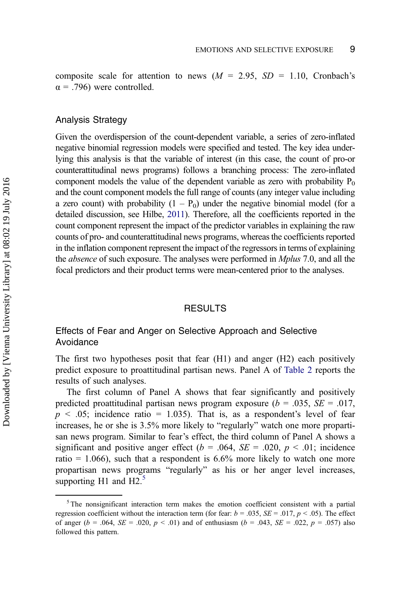composite scale for attention to news ( $M = 2.95$ ,  $SD = 1.10$ , Cronbach's  $\alpha$  = .796) were controlled.

#### Analysis Strategy

Given the overdispersion of the count-dependent variable, a series of zero-inflated negative binomial regression models were specified and tested. The key idea underlying this analysis is that the variable of interest (in this case, the count of pro-or counterattitudinal news programs) follows a branching process: The zero-inflated component models the value of the dependent variable as zero with probability  $P_0$ and the count component models the full range of counts (any integer value including a zero count) with probability  $(1 - P_0)$  under the negative binomial model (for a detailed discussion, see Hilbe, [2011](#page-19-0)). Therefore, all the coefficients reported in the count component represent the impact of the predictor variables in explaining the raw counts of pro- and counterattitudinal news programs, whereas the coefficients reported in the inflation component represent the impact of the regressors in terms of explaining the absence of such exposure. The analyses were performed in Mplus 7.0, and all the focal predictors and their product terms were mean-centered prior to the analyses.

#### RESULTS

# Effects of Fear and Anger on Selective Approach and Selective Avoidance

The first two hypotheses posit that fear (H1) and anger (H2) each positively predict exposure to proattitudinal partisan news. Panel A of [Table 2](#page-10-0) reports the results of such analyses.

The first column of Panel A shows that fear significantly and positively predicted proattitudinal partisan news program exposure ( $b = .035$ ,  $SE = .017$ ,  $p \leq 0.05$ ; incidence ratio = 1.035). That is, as a respondent's level of fear increases, he or she is 3.5% more likely to "regularly" watch one more propartisan news program. Similar to fear's effect, the third column of Panel A shows a significant and positive anger effect ( $b = .064$ ,  $SE = .020$ ,  $p < .01$ ; incidence ratio  $= 1.066$ ), such that a respondent is  $6.6\%$  more likely to watch one more propartisan news programs "regularly" as his or her anger level increases, supporting H1 and H2. $5$ 

<sup>&</sup>lt;sup>5</sup>The nonsignificant interaction term makes the emotion coefficient consistent with a partial regression coefficient without the interaction term (for fear:  $b = .035$ ,  $SE = .017$ ,  $p < .05$ ). The effect of anger ( $b = .064$ ,  $SE = .020$ ,  $p < .01$ ) and of enthusiasm ( $b = .043$ ,  $SE = .022$ ,  $p = .057$ ) also followed this pattern.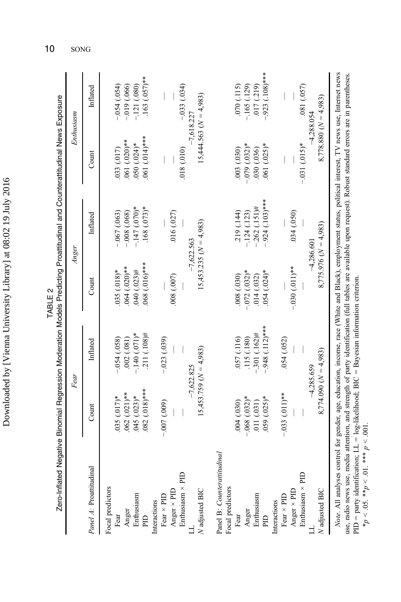| LC TC<br>I<br>1<br>֠<br>l<br>l<br>i<br>í | $\frac{1}{2}$ |
|------------------------------------------|---------------|
|                                          |               |
|                                          |               |
|                                          |               |
|                                          |               |
|                                          |               |
|                                          |               |
|                                          | ţ             |

|                                                                                                                                                                                                     |                                                                                          | Fear                                                                                                                          |                                                                                        | Anger                                                                                                                       |                                                                                 | Enthusiasm                                                                                                                           |
|-----------------------------------------------------------------------------------------------------------------------------------------------------------------------------------------------------|------------------------------------------------------------------------------------------|-------------------------------------------------------------------------------------------------------------------------------|----------------------------------------------------------------------------------------|-----------------------------------------------------------------------------------------------------------------------------|---------------------------------------------------------------------------------|--------------------------------------------------------------------------------------------------------------------------------------|
| Panel A: Proattitudinal                                                                                                                                                                             | $_{\rm Com}$                                                                             | Inflated                                                                                                                      | Count                                                                                  | Inflated                                                                                                                    | Count                                                                           | Inflated                                                                                                                             |
| Enthusiasm × PID<br>Focal predictors<br>Anger × PID<br>$N$ adjusted BIC<br>Fear $\times$ PID<br>Enthusiasm<br>Interactions<br>Anger<br>Fear<br>E                                                    | $0.082$ $(0.018)$ ***<br>$.062(.021)**$<br>$.045(.023)*$<br>$035(017)*$<br>$-0.007(009)$ | $.211(.108)$ #<br>$-.140(.071)*$<br>$-054(.058)$<br>.002(.081)<br>$-0.023(0.039)$<br>$15,453.759 (N = 4,983)$<br>$-7.622.825$ | $068(.016)$ ***<br>$064(.020)*$<br>040 (.023)#<br>035 (.018)*<br>(000, 000, 000)       | $-147(070)*$<br>$4(68)(.073)*$<br>$-067(063)$<br>$-0.08$ $(.068)$<br>.016(.027)<br>$15,453.235 (N = 4,983)$<br>$-7.622.563$ | $0.61(0.14)$ ***<br>$061(020)*$<br>$050(.024)$ *<br>(010, 810)<br>033 (.017)    | $.163(0.057)$ **<br>$-0.033(0.034)$<br>$-121(080)$<br>$(650)$ $650$ .<br>$-0.019$ (.066)<br>$15,444.563 (N = 4,983)$<br>$-7.618.227$ |
| Panel B: Counterattitudinal<br>Enthusiasm × PID<br>Focal predictors<br>Anger $\times$ PID<br>$N$ adjusted $BIC$<br>Fear $\times$ PID<br>Enthusiasm<br>Interactions<br>Anger<br>Fear<br>$\mathbb{R}$ | $-0.033$ $(0.011)**$<br>$-.068(.032)*$<br>$059(.025)$ *<br>.011(031)<br>.004(030)        | $-.948(.112)***$<br>$-.301 (.162)$ #<br>.115(.180)<br>057 (.116)<br>054 (.052)<br>$8,774.090(N = 4,983)$<br>$-4,285.659$      | $-0.030$ $(.011)**$<br>$-0.072$ $(.032)*$<br>$054(.024)$ *<br>(080, 030)<br>.014(.032) | $-924$ (.103)***<br>$-262$ (.151)#<br>.219 (.144)<br>$-124(123)$<br>.034(.050)<br>$8,775.976$ $(N = 4,983)$<br>$-4,286,601$ | $-.031(.015)*$<br>$-0.079$ $(.032)*$<br>$061(025)*$<br>(030, 030)<br>(030)(036) | $-.923(0108)$ ***<br>.017(.219)<br>.081 (.057)<br>(070)(.115)<br>$-165(129)$<br>$8,778.880(N = 4,983)$<br>$-4.288.054$               |
| $\lambda T = 4.5$ $\lambda$ 11 $\lambda$ and $\lambda$ $\lambda$ and $\lambda$                                                                                                                      | مستلم وسلمون ومورود ومستقل ومستور المتلك المست                                           |                                                                                                                               | ATTL: 4.   4 TH 1.                                                                     |                                                                                                                             | مستر 1977 میں مسلمان استعمال کا ا                                               |                                                                                                                                      |

Zero-Inflated Negative Binomial Regression Moderation Models Predicting Proattitudinal and Counterattitudinal News Exposure Zero-Inflated Negative Binomial Regression Moderation Models Predicting Proattitudinal and Counterattitudinal News Exposure TABLE 2 TABLE 2

Note. All analyses control for gender, age, education, income, race (White and Black), employment status, political interest, TV news use, Internet news use, radio news use, media attention, and strength of party identification (full tables are available upon request). Robust standard errors are in parentheses. Note. All analyses control for gender, age, education, income, race (White and Black), employment status, political interest, TV news use, Internet news use, radio news use, media attention, and strength of party identification (full tables are available upon request). Robust standard errors are in parentheses. PID = party identification; LL = log-likelihood; BIC = Bayesian information criterion.<br>\* $p < .05$ . \*\* $p < .01$ . \*\*\*  $p < .001$ . PID = party identification; LL = log-likelihood; BIC = Bayesian information criterion.  $*p < .05$ .  $**p < .01$ .  $***p < .001$ .

<span id="page-10-0"></span>10 SONG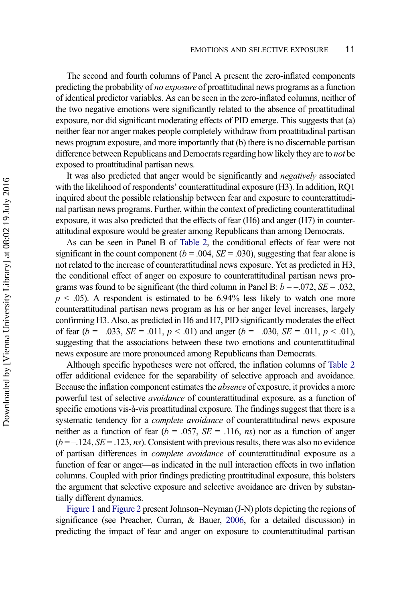The second and fourth columns of Panel A present the zero-inflated components predicting the probability of no exposure of proattitudinal news programs as a function of identical predictor variables. As can be seen in the zero-inflated columns, neither of the two negative emotions were significantly related to the absence of proattitudinal exposure, nor did significant moderating effects of PID emerge. This suggests that (a) neither fear nor anger makes people completely withdraw from proattitudinal partisan news program exposure, and more importantly that (b) there is no discernable partisan difference between Republicans and Democrats regarding how likely they are to not be exposed to proattitudinal partisan news.

It was also predicted that anger would be significantly and *negatively* associated with the likelihood of respondents' counterattitudinal exposure (H3). In addition, RQ1 inquired about the possible relationship between fear and exposure to counterattitudinal partisan news programs. Further, within the context of predicting counterattitudinal exposure, it was also predicted that the effects of fear (H6) and anger (H7) in counterattitudinal exposure would be greater among Republicans than among Democrats.

As can be seen in Panel B of [Table 2](#page-10-0), the conditional effects of fear were not significant in the count component ( $b = .004$ ,  $SE = .030$ ), suggesting that fear alone is not related to the increase of counterattitudinal news exposure. Yet as predicted in H3, the conditional effect of anger on exposure to counterattitudinal partisan news programs was found to be significant (the third column in Panel B:  $b = -.072$ ,  $SE = .032$ ,  $p < .05$ ). A respondent is estimated to be 6.94% less likely to watch one more counterattitudinal partisan news program as his or her anger level increases, largely confirming H3. Also, as predicted in H6 and H7, PID significantly moderates the effect of fear  $(b = -.033, SE = .011, p < .01)$  and anger  $(b = -.030, SE = .011, p < .01)$ , suggesting that the associations between these two emotions and counterattitudinal news exposure are more pronounced among Republicans than Democrats.

Although specific hypotheses were not offered, the inflation columns of [Table 2](#page-10-0) offer additional evidence for the separability of selective approach and avoidance. Because the inflation component estimates the absence of exposure, it provides a more powerful test of selective avoidance of counterattitudinal exposure, as a function of specific emotions vis-à-vis proattitudinal exposure. The findings suggest that there is a systematic tendency for a *complete avoidance* of counterattitudinal news exposure neither as a function of fear ( $b = .057$ ,  $SE = .116$ , *ns*) nor as a function of anger  $(b = -124, SE = .123, ns)$ . Consistent with previous results, there was also no evidence of partisan differences in complete avoidance of counterattitudinal exposure as a function of fear or anger—as indicated in the null interaction effects in two inflation columns. Coupled with prior findings predicting proattitudinal exposure, this bolsters the argument that selective exposure and selective avoidance are driven by substantially different dynamics.

[Figure 1](#page-12-0) and [Figure 2](#page-13-0) present Johnson–Neyman (J-N) plots depicting the regions of significance (see Preacher, Curran, & Bauer, [2006,](#page-20-0) for a detailed discussion) in predicting the impact of fear and anger on exposure to counterattitudinal partisan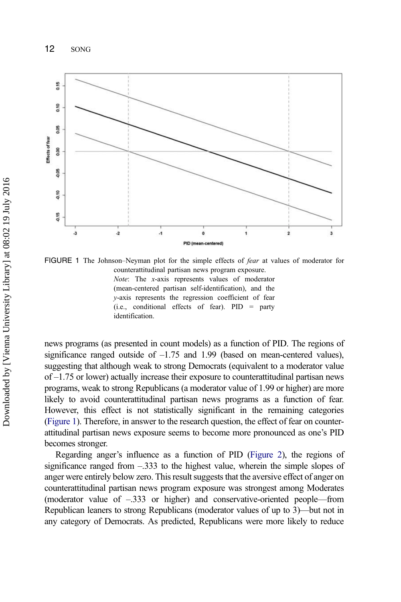<span id="page-12-0"></span>

FIGURE 1 The Johnson-Neyman plot for the simple effects of *fear* at values of moderator for counterattitudinal partisan news program exposure. Note: The x-axis represents values of moderator (mean-centered partisan self-identification), and the y-axis represents the regression coefficient of fear (i.e., conditional effects of fear). PID = party identification.

news programs (as presented in count models) as a function of PID. The regions of significance ranged outside of  $-1.75$  and 1.99 (based on mean-centered values), suggesting that although weak to strong Democrats (equivalent to a moderator value of –1.75 or lower) actually increase their exposure to counterattitudinal partisan news programs, weak to strong Republicans (a moderator value of 1.99 or higher) are more likely to avoid counterattitudinal partisan news programs as a function of fear. However, this effect is not statistically significant in the remaining categories (Figure 1). Therefore, in answer to the research question, the effect of fear on counterattitudinal partisan news exposure seems to become more pronounced as one's PID becomes stronger.

Regarding anger's influence as a function of PID ([Figure 2\)](#page-13-0), the regions of significance ranged from –.333 to the highest value, wherein the simple slopes of anger were entirely below zero. This result suggests that the aversive effect of anger on counterattitudinal partisan news program exposure was strongest among Moderates (moderator value of –.333 or higher) and conservative-oriented people—from Republican leaners to strong Republicans (moderator values of up to 3)—but not in any category of Democrats. As predicted, Republicans were more likely to reduce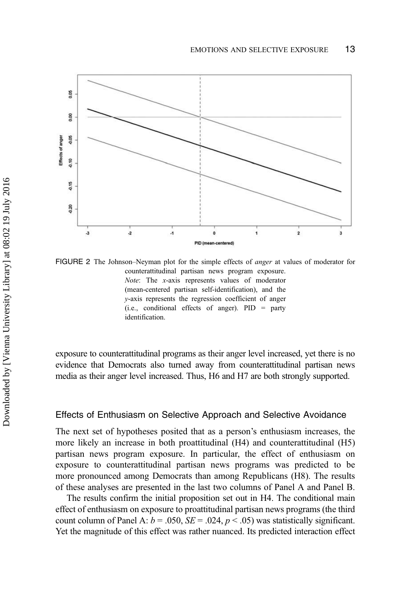<span id="page-13-0"></span>

FIGURE 2 The Johnson–Neyman plot for the simple effects of *anger* at values of moderator for counterattitudinal partisan news program exposure. Note: The x-axis represents values of moderator (mean-centered partisan self-identification), and the y-axis represents the regression coefficient of anger (i.e., conditional effects of anger). PID = party identification.

exposure to counterattitudinal programs as their anger level increased, yet there is no evidence that Democrats also turned away from counterattitudinal partisan news media as their anger level increased. Thus, H6 and H7 are both strongly supported.

#### Effects of Enthusiasm on Selective Approach and Selective Avoidance

The next set of hypotheses posited that as a person's enthusiasm increases, the more likely an increase in both proattitudinal (H4) and counterattitudinal (H5) partisan news program exposure. In particular, the effect of enthusiasm on exposure to counterattitudinal partisan news programs was predicted to be more pronounced among Democrats than among Republicans (H8). The results of these analyses are presented in the last two columns of Panel A and Panel B.

The results confirm the initial proposition set out in H4. The conditional main effect of enthusiasm on exposure to proattitudinal partisan news programs (the third count column of Panel A:  $b = .050$ ,  $SE = .024$ ,  $p < .05$ ) was statistically significant. Yet the magnitude of this effect was rather nuanced. Its predicted interaction effect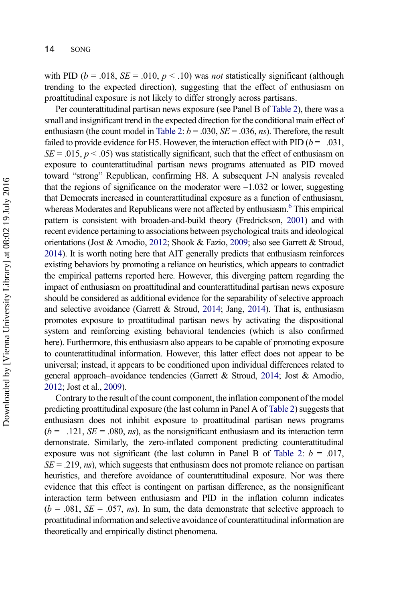with PID ( $b = .018$ ,  $SE = .010$ ,  $p < .10$ ) was not statistically significant (although trending to the expected direction), suggesting that the effect of enthusiasm on proattitudinal exposure is not likely to differ strongly across partisans.

Per counterattitudinal partisan news exposure (see Panel B of [Table 2\)](#page-10-0), there was a small and insignificant trend in the expected direction for the conditional main effect of enthusiasm (the count model in [Table 2](#page-10-0):  $b = .030$ ,  $SE = .036$ , *ns*). Therefore, the result failed to provide evidence for H5. However, the interaction effect with PID ( $b = -0.031$ ,  $SE = .015$ ,  $p < .05$ ) was statistically significant, such that the effect of enthusiasm on exposure to counterattitudinal partisan news programs attenuated as PID moved toward "strong" Republican, confirming H8. A subsequent J-N analysis revealed that the regions of significance on the moderator were  $-1.032$  or lower, suggesting that Democrats increased in counterattitudinal exposure as a function of enthusiasm, whereas Moderates and Republicans were not affected by enthusiasm.<sup>6</sup> This empirical pattern is consistent with broaden-and-build theory (Fredrickson, [2001](#page-19-0)) and with recent evidence pertaining to associations between psychological traits and ideological orientations (Jost & Amodio, [2012](#page-20-0); Shook & Fazio, [2009;](#page-21-0) also see Garrett & Stroud, [2014](#page-19-0)). It is worth noting here that AIT generally predicts that enthusiasm reinforces existing behaviors by promoting a reliance on heuristics, which appears to contradict the empirical patterns reported here. However, this diverging pattern regarding the impact of enthusiasm on proattitudinal and counterattitudinal partisan news exposure should be considered as additional evidence for the separability of selective approach and selective avoidance (Garrett & Stroud, [2014;](#page-19-0) Jang, [2014](#page-20-0)). That is, enthusiasm promotes exposure to proattitudinal partisan news by activating the dispositional system and reinforcing existing behavioral tendencies (which is also confirmed here). Furthermore, this enthusiasm also appears to be capable of promoting exposure to counterattitudinal information. However, this latter effect does not appear to be universal; instead, it appears to be conditioned upon individual differences related to general approach–avoidance tendencies (Garrett & Stroud, [2014](#page-19-0); Jost & Amodio, [2012;](#page-20-0) Jost et al., [2009](#page-20-0)).

Contrary to the result of the count component, the inflation component of the model predicting proattitudinal exposure (the last column in Panel A of [Table 2](#page-10-0)) suggests that enthusiasm does not inhibit exposure to proattitudinal partisan news programs  $(b = -.121, SE = .080, ns)$ , as the nonsignificant enthusiasm and its interaction term demonstrate. Similarly, the zero-inflated component predicting counterattitudinal exposure was not significant (the last column in Panel B of [Table 2](#page-10-0):  $b = .017$ ,  $SE = .219$ , *ns*), which suggests that enthusiasm does not promote reliance on partisan heuristics, and therefore avoidance of counterattitudinal exposure. Nor was there evidence that this effect is contingent on partisan difference, as the nonsignificant interaction term between enthusiasm and PID in the inflation column indicates  $(b = .081, SE = .057, ns)$ . In sum, the data demonstrate that selective approach to proattitudinal information and selective avoidance of counterattitudinal information are theoretically and empirically distinct phenomena.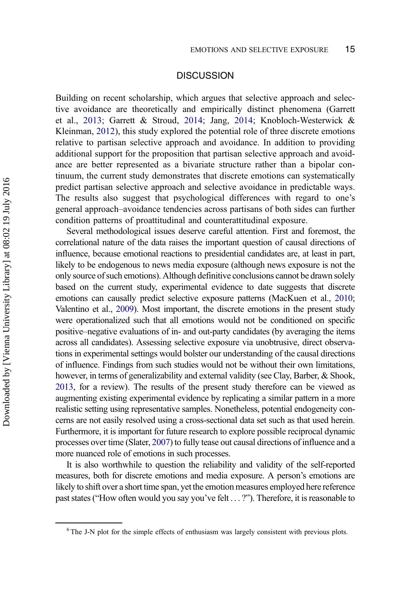### **DISCUSSION**

Building on recent scholarship, which argues that selective approach and selective avoidance are theoretically and empirically distinct phenomena (Garrett et al., [2013;](#page-19-0) Garrett & Stroud, [2014](#page-19-0); Jang, [2014;](#page-20-0) Knobloch-Westerwick & Kleinman, [2012\)](#page-20-0), this study explored the potential role of three discrete emotions relative to partisan selective approach and avoidance. In addition to providing additional support for the proposition that partisan selective approach and avoidance are better represented as a bivariate structure rather than a bipolar continuum, the current study demonstrates that discrete emotions can systematically predict partisan selective approach and selective avoidance in predictable ways. The results also suggest that psychological differences with regard to one's general approach–avoidance tendencies across partisans of both sides can further condition patterns of proattitudinal and counterattitudinal exposure.

Several methodological issues deserve careful attention. First and foremost, the correlational nature of the data raises the important question of causal directions of influence, because emotional reactions to presidential candidates are, at least in part, likely to be endogenous to news media exposure (although news exposure is not the only source of such emotions). Although definitive conclusions cannot be drawn solely based on the current study, experimental evidence to date suggests that discrete emotions can causally predict selective exposure patterns (MacKuen et al., [2010;](#page-20-0) Valentino et al., [2009](#page-21-0)). Most important, the discrete emotions in the present study were operationalized such that all emotions would not be conditioned on specific positive–negative evaluations of in- and out-party candidates (by averaging the items across all candidates). Assessing selective exposure via unobtrusive, direct observations in experimental settings would bolster our understanding of the causal directions of influence. Findings from such studies would not be without their own limitations, however, in terms of generalizability and external validity (see Clay, Barber, & Shook, [2013,](#page-19-0) for a review). The results of the present study therefore can be viewed as augmenting existing experimental evidence by replicating a similar pattern in a more realistic setting using representative samples. Nonetheless, potential endogeneity concerns are not easily resolved using a cross-sectional data set such as that used herein. Furthermore, it is important for future research to explore possible reciprocal dynamic processes over time (Slater, [2007\)](#page-21-0) to fully tease out causal directions of influence and a more nuanced role of emotions in such processes.

It is also worthwhile to question the reliability and validity of the self-reported measures, both for discrete emotions and media exposure. A person's emotions are likely to shift over a short time span, yet the emotion measures employed here reference past states ("How often would you say you've felt . . . ?"). Therefore, it is reasonable to

<sup>&</sup>lt;sup>6</sup> The J-N plot for the simple effects of enthusiasm was largely consistent with previous plots.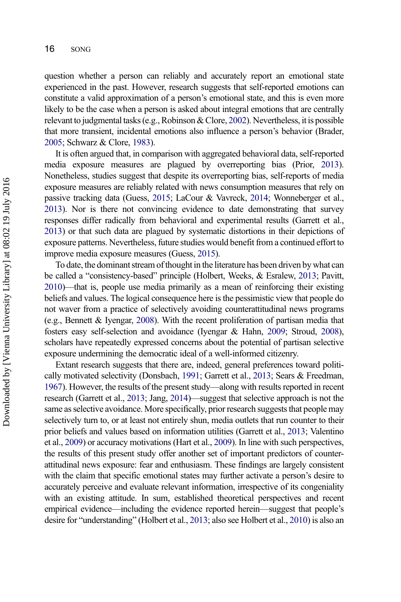question whether a person can reliably and accurately report an emotional state experienced in the past. However, research suggests that self-reported emotions can constitute a valid approximation of a person's emotional state, and this is even more likely to be the case when a person is asked about integral emotions that are centrally relevant to judgmental tasks (e.g., Robinson & Clore, [2002](#page-21-0)). Nevertheless, it is possible that more transient, incidental emotions also influence a person's behavior (Brader, [2005](#page-19-0); Schwarz & Clore, [1983\)](#page-21-0).

It is often argued that, in comparison with aggregated behavioral data, self-reported media exposure measures are plagued by overreporting bias (Prior, [2013](#page-21-0)). Nonetheless, studies suggest that despite its overreporting bias, self-reports of media exposure measures are reliably related with news consumption measures that rely on passive tracking data (Guess, [2015](#page-19-0); LaCour & Vavreck, [2014;](#page-20-0) Wonneberger et al., [2013\)](#page-21-0). Nor is there not convincing evidence to date demonstrating that survey responses differ radically from behavioral and experimental results (Garrett et al., [2013\)](#page-19-0) or that such data are plagued by systematic distortions in their depictions of exposure patterns. Nevertheless, future studies would benefit from a continued effort to improve media exposure measures (Guess, [2015\)](#page-19-0).

To date, the dominant stream of thought in the literature has been driven by what can be called a "consistency-based" principle (Holbert, Weeks, & Esralew, [2013;](#page-19-0) Pavitt, [2010\)](#page-20-0)—that is, people use media primarily as a mean of reinforcing their existing beliefs and values. The logical consequence here is the pessimistic view that people do not waver from a practice of selectively avoiding counterattitudinal news programs (e.g., Bennett & Iyengar, [2008\)](#page-19-0). With the recent proliferation of partisan media that fosters easy self-selection and avoidance (Iyengar & Hahn, [2009](#page-20-0); Stroud, [2008](#page-21-0)), scholars have repeatedly expressed concerns about the potential of partisan selective exposure undermining the democratic ideal of a well-informed citizenry.

Extant research suggests that there are, indeed, general preferences toward politically motivated selectivity (Donsbach, [1991](#page-19-0); Garrett et al., [2013;](#page-19-0) Sears & Freedman, [1967\)](#page-21-0). However, the results of the present study—along with results reported in recent research (Garrett et al., [2013;](#page-19-0) Jang, [2014\)](#page-20-0)—suggest that selective approach is not the same as selective avoidance. More specifically, prior research suggests that people may selectively turn to, or at least not entirely shun, media outlets that run counter to their prior beliefs and values based on information utilities (Garrett et al., [2013;](#page-19-0) Valentino et al., [2009](#page-21-0)) or accuracy motivations (Hart et al., [2009\)](#page-19-0). In line with such perspectives, the results of this present study offer another set of important predictors of counterattitudinal news exposure: fear and enthusiasm. These findings are largely consistent with the claim that specific emotional states may further activate a person's desire to accurately perceive and evaluate relevant information, irrespective of its congeniality with an existing attitude. In sum, established theoretical perspectives and recent empirical evidence—including the evidence reported herein—suggest that people's desire for "understanding" (Holbert et al., [2013;](#page-19-0) also see Holbert et al., [2010](#page-19-0)) is also an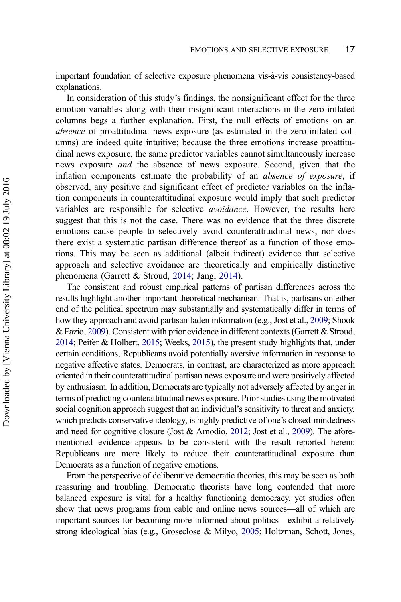important foundation of selective exposure phenomena vis-à-vis consistency-based explanations.

In consideration of this study's findings, the nonsignificant effect for the three emotion variables along with their insignificant interactions in the zero-inflated columns begs a further explanation. First, the null effects of emotions on an absence of proattitudinal news exposure (as estimated in the zero-inflated columns) are indeed quite intuitive; because the three emotions increase proattitudinal news exposure, the same predictor variables cannot simultaneously increase news exposure and the absence of news exposure. Second, given that the inflation components estimate the probability of an absence of exposure, if observed, any positive and significant effect of predictor variables on the inflation components in counterattitudinal exposure would imply that such predictor variables are responsible for selective avoidance. However, the results here suggest that this is not the case. There was no evidence that the three discrete emotions cause people to selectively avoid counterattitudinal news, nor does there exist a systematic partisan difference thereof as a function of those emotions. This may be seen as additional (albeit indirect) evidence that selective approach and selective avoidance are theoretically and empirically distinctive phenomena (Garrett & Stroud, [2014](#page-19-0); Jang, [2014](#page-20-0)).

The consistent and robust empirical patterns of partisan differences across the results highlight another important theoretical mechanism. That is, partisans on either end of the political spectrum may substantially and systematically differ in terms of how they approach and avoid partisan-laden information (e.g., Jost et al., [2009](#page-20-0); Shook & Fazio, [2009\)](#page-21-0). Consistent with prior evidence in different contexts(Garrett & Stroud, [2014;](#page-19-0) Peifer & Holbert, [2015;](#page-20-0) Weeks, [2015\)](#page-21-0), the present study highlights that, under certain conditions, Republicans avoid potentially aversive information in response to negative affective states. Democrats, in contrast, are characterized as more approach oriented in their counterattitudinal partisan news exposure and were positively affected by enthusiasm. In addition, Democrats are typically not adversely affected by anger in terms of predicting counterattitudinal news exposure. Prior studies using the motivated social cognition approach suggest that an individual's sensitivity to threat and anxiety, which predicts conservative ideology, is highly predictive of one's closed-mindedness and need for cognitive closure (Jost & Amodio, [2012](#page-20-0); Jost et al., [2009\)](#page-20-0). The aforementioned evidence appears to be consistent with the result reported herein: Republicans are more likely to reduce their counterattitudinal exposure than Democrats as a function of negative emotions.

From the perspective of deliberative democratic theories, this may be seen as both reassuring and troubling. Democratic theorists have long contended that more balanced exposure is vital for a healthy functioning democracy, yet studies often show that news programs from cable and online news sources—all of which are important sources for becoming more informed about politics—exhibit a relatively strong ideological bias (e.g., Groseclose & Milyo, [2005](#page-19-0); Holtzman, Schott, Jones,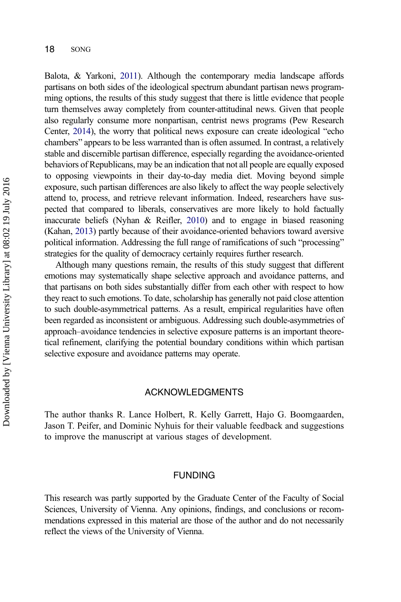Balota, & Yarkoni, [2011](#page-20-0)). Although the contemporary media landscape affords partisans on both sides of the ideological spectrum abundant partisan news programming options, the results of this study suggest that there is little evidence that people turn themselves away completely from counter-attitudinal news. Given that people also regularly consume more nonpartisan, centrist news programs (Pew Research Center, [2014\)](#page-20-0), the worry that political news exposure can create ideological "echo chambers" appears to be less warranted than is often assumed. In contrast, a relatively stable and discernible partisan difference, especially regarding the avoidance-oriented behaviors of Republicans, may be an indication that not all people are equally exposed to opposing viewpoints in their day-to-day media diet. Moving beyond simple exposure, such partisan differences are also likely to affect the way people selectively attend to, process, and retrieve relevant information. Indeed, researchers have suspected that compared to liberals, conservatives are more likely to hold factually inaccurate beliefs (Nyhan  $\&$  Reifler, [2010](#page-20-0)) and to engage in biased reasoning (Kahan, [2013](#page-20-0)) partly because of their avoidance-oriented behaviors toward aversive political information. Addressing the full range of ramifications of such "processing" strategies for the quality of democracy certainly requires further research.

Although many questions remain, the results of this study suggest that different emotions may systematically shape selective approach and avoidance patterns, and that partisans on both sides substantially differ from each other with respect to how they react to such emotions. To date, scholarship has generally not paid close attention to such double-asymmetrical patterns. As a result, empirical regularities have often been regarded as inconsistent or ambiguous. Addressing such double-asymmetries of approach–avoidance tendencies in selective exposure patterns is an important theoretical refinement, clarifying the potential boundary conditions within which partisan selective exposure and avoidance patterns may operate.

#### ACKNOWLEDGMENTS

The author thanks R. Lance Holbert, R. Kelly Garrett, Hajo G. Boomgaarden, Jason T. Peifer, and Dominic Nyhuis for their valuable feedback and suggestions to improve the manuscript at various stages of development.

#### FUNDING

This research was partly supported by the Graduate Center of the Faculty of Social Sciences, University of Vienna. Any opinions, findings, and conclusions or recommendations expressed in this material are those of the author and do not necessarily reflect the views of the University of Vienna.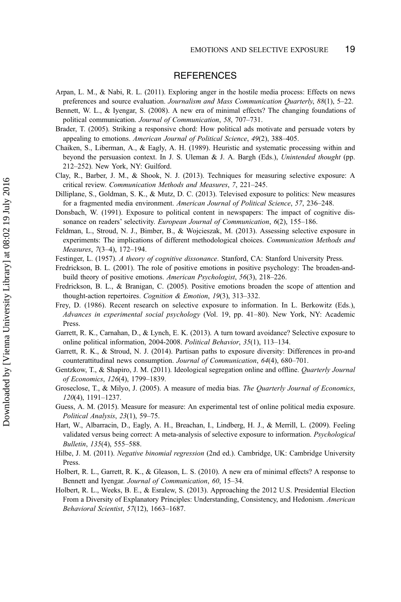#### **REFERENCES**

- <span id="page-19-0"></span>Arpan, L. M., & Nabi, R. L. (2011). Exploring anger in the hostile media process: Effects on news preferences and source evaluation. Journalism and Mass Communication Quarterly, 88(1), 5–22.
- Bennett, W. L., & Iyengar, S. (2008). A new era of minimal effects? The changing foundations of political communication. Journal of Communication, 58, 707–731.
- Brader, T. (2005). Striking a responsive chord: How political ads motivate and persuade voters by appealing to emotions. American Journal of Political Science, 49(2), 388–405.
- Chaiken, S., Liberman, A., & Eagly, A. H. (1989). Heuristic and systematic processing within and beyond the persuasion context. In J. S. Uleman & J. A. Bargh (Eds.), Unintended thought (pp. 212–252). New York, NY: Guilford.
- Clay, R., Barber, J. M., & Shook, N. J. (2013). Techniques for measuring selective exposure: A critical review. Communication Methods and Measures, 7, 221–245.
- Dilliplane, S., Goldman, S. K., & Mutz, D. C. (2013). Televised exposure to politics: New measures for a fragmented media environment. American Journal of Political Science, 57, 236–248.
- Donsbach, W. (1991). Exposure to political content in newspapers: The impact of cognitive dissonance on readers' selectivity. European Journal of Communication, 6(2), 155–186.
- Feldman, L., Stroud, N. J., Bimber, B., & Wojcieszak, M. (2013). Assessing selective exposure in experiments: The implications of different methodological choices. Communication Methods and Measures, 7(3–4), 172–194.
- Festinger, L. (1957). A theory of cognitive dissonance. Stanford, CA: Stanford University Press.
- Fredrickson, B. L. (2001). The role of positive emotions in positive psychology: The broaden-andbuild theory of positive emotions. American Psychologist, 56(3), 218–226.
- Fredrickson, B. L., & Branigan, C. (2005). Positive emotions broaden the scope of attention and thought-action repertoires. Cognition & Emotion, 19(3), 313–332.
- Frey, D. (1986). Recent research on selective exposure to information. In L. Berkowitz (Eds.), Advances in experimental social psychology (Vol. 19, pp. 41–80). New York, NY: Academic Press.
- Garrett, R. K., Carnahan, D., & Lynch, E. K. (2013). A turn toward avoidance? Selective exposure to online political information, 2004-2008. Political Behavior, 35(1), 113–134.
- Garrett, R. K., & Stroud, N. J. (2014). Partisan paths to exposure diversity: Differences in pro-and counterattitudinal news consumption. Journal of Communication, 64(4), 680–701.
- Gentzkow, T., & Shapiro, J. M. (2011). Ideological segregation online and offline. Quarterly Journal of Economics, 126(4), 1799–1839.
- Groseclose, T., & Milyo, J. (2005). A measure of media bias. The Quarterly Journal of Economics, 120(4), 1191–1237.
- Guess, A. M. (2015). Measure for measure: An experimental test of online political media exposure. Political Analysis, 23(1), 59–75.
- Hart, W., Albarracin, D., Eagly, A. H., Breachan, I., Lindberg, H. J., & Merrill, L. (2009). Feeling validated versus being correct: A meta-analysis of selective exposure to information. Psychological Bulletin, 135(4), 555–588.
- Hilbe, J. M. (2011). Negative binomial regression (2nd ed.). Cambridge, UK: Cambridge University Press.
- Holbert, R. L., Garrett, R. K., & Gleason, L. S. (2010). A new era of minimal effects? A response to Bennett and Iyengar. Journal of Communication, 60, 15–34.
- Holbert, R. L., Weeks, B. E., & Esralew, S. (2013). Approaching the 2012 U.S. Presidential Election From a Diversity of Explanatory Principles: Understanding, Consistency, and Hedonism. American Behavioral Scientist, 57(12), 1663–1687.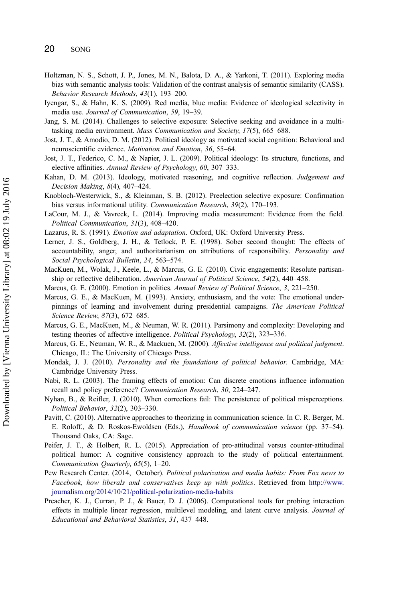- <span id="page-20-0"></span>Holtzman, N. S., Schott, J. P., Jones, M. N., Balota, D. A., & Yarkoni, T. (2011). Exploring media bias with semantic analysis tools: Validation of the contrast analysis of semantic similarity (CASS). Behavior Research Methods, 43(1), 193–200.
- Iyengar, S., & Hahn, K. S. (2009). Red media, blue media: Evidence of ideological selectivity in media use. Journal of Communication, 59, 19–39.
- Jang, S. M. (2014). Challenges to selective exposure: Selective seeking and avoidance in a multitasking media environment. Mass Communication and Society, 17(5), 665–688.
- Jost, J. T., & Amodio, D. M. (2012). Political ideology as motivated social cognition: Behavioral and neuroscientific evidence. Motivation and Emotion, 36, 55–64.
- Jost, J. T., Federico, C. M., & Napier, J. L. (2009). Political ideology: Its structure, functions, and elective affinities. Annual Review of Psychology, 60, 307–333.
- Kahan, D. M. (2013). Ideology, motivated reasoning, and cognitive reflection. Judgement and Decision Making, 8(4), 407–424.
- Knobloch-Westerwick, S., & Kleinman, S. B. (2012). Preelection selective exposure: Confirmation bias versus informational utility. Communication Research, 39(2), 170-193.
- LaCour, M. J., & Vavreck, L. (2014). Improving media measurement: Evidence from the field. Political Communication, 31(3), 408–420.
- Lazarus, R. S. (1991). Emotion and adaptation. Oxford, UK: Oxford University Press.
- Lerner, J. S., Goldberg, J. H., & Tetlock, P. E. (1998). Sober second thought: The effects of accountability, anger, and authoritarianism on attributions of responsibility. Personality and Social Psychological Bulletin, 24, 563–574.
- MacKuen, M., Wolak, J., Keele, L., & Marcus, G. E. (2010). Civic engagements: Resolute partisanship or reflective deliberation. American Journal of Political Science, 54(2), 440–458.
- Marcus, G. E. (2000). Emotion in politics. Annual Review of Political Science, 3, 221–250.
- Marcus, G. E., & MacKuen, M. (1993). Anxiety, enthusiasm, and the vote: The emotional underpinnings of learning and involvement during presidential campaigns. The American Political Science Review, 87(3), 672–685.
- Marcus, G. E., MacKuen, M., & Neuman, W. R. (2011). Parsimony and complexity: Developing and testing theories of affective intelligence. Political Psychology, 32(2), 323–336.
- Marcus, G. E., Neuman, W. R., & Mackuen, M. (2000). Affective intelligence and political judgment. Chicago, IL: The University of Chicago Press.
- Mondak, J. J. (2010). Personality and the foundations of political behavior. Cambridge, MA: Cambridge University Press.
- Nabi, R. L. (2003). The framing effects of emotion: Can discrete emotions influence information recall and policy preference? Communication Research, 30, 224–247.
- Nyhan, B., & Reifler, J. (2010). When corrections fail: The persistence of political misperceptions. Political Behavior, 32(2), 303–330.
- Pavitt, C. (2010). Alternative approaches to theorizing in communication science. In C. R. Berger, M. E. Roloff., & D. Roskos-Ewoldsen (Eds.), Handbook of communication science (pp. 37–54). Thousand Oaks, CA: Sage.
- Peifer, J. T., & Holbert, R. L. (2015). Appreciation of pro-attitudinal versus counter-attitudinal political humor: A cognitive consistency approach to the study of political entertainment. Communication Quarterly, 65(5), 1–20.
- Pew Research Center. (2014, October). Political polarization and media habits: From Fox news to Facebook, how liberals and conservatives keep up with politics. Retrieved from [http://www.](http://www.journalism.org/2014/10/21/political-polarization-media-habits) [journalism.org/2014/10/21/political-polarization-media-habits](http://www.journalism.org/2014/10/21/political-polarization-media-habits)
- Preacher, K. J., Curran, P. J., & Bauer, D. J. (2006). Computational tools for probing interaction effects in multiple linear regression, multilevel modeling, and latent curve analysis. Journal of Educational and Behavioral Statistics, 31, 437–448.